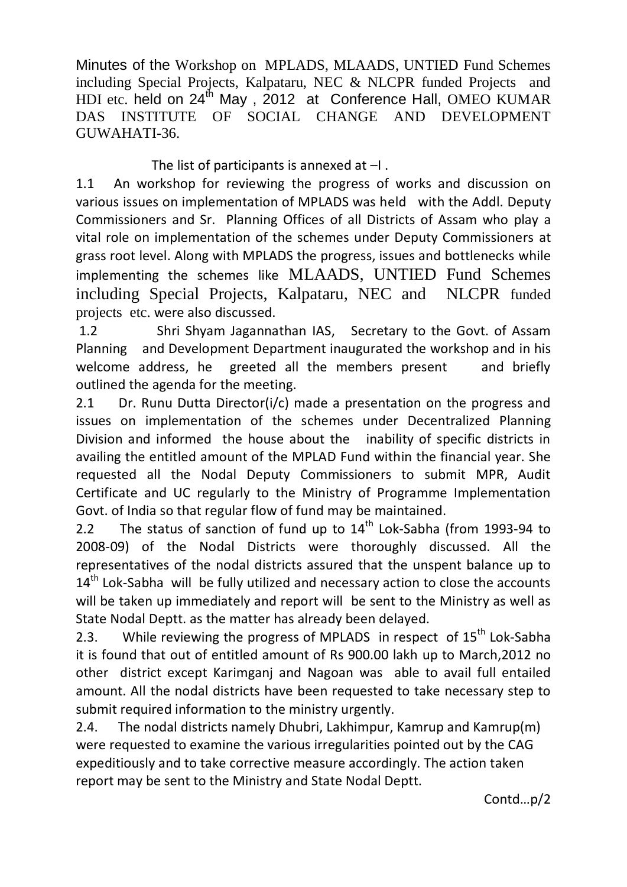Minutes of the Workshop on MPLADS, MLAADS, UNTIED Fund Schemes including Special Projects, Kalpataru, NEC & NLCPR funded Projects and HDI etc. held on 24<sup>th</sup> May, 2012 at Conference Hall, OMEO KUMAR DAS INSTITUTE OF SOCIAL CHANGE AND DEVELOPMENT GUWAHATI-36.

The list of participants is annexed at  $-I$ .

1.1 An workshop for reviewing the progress of works and discussion on various issues on implementation of MPLADS was held with the Addl. Deputy Commissioners and Sr. Planning Offices of all Districts of Assam who play a vital role on implementation of the schemes under Deputy Commissioners at grass root level. Along with MPLADS the progress, issues and bottlenecks while implementing the schemes like MLAADS, UNTIED Fund Schemes including Special Projects, Kalpataru, NEC and NLCPR funded projects etc. were also discussed.

1.2 Shri Shyam Jagannathan IAS, Secretary to the Govt. of Assam Planning and Development Department inaugurated the workshop and in his welcome address, he greeted all the members present and briefly outlined the agenda for the meeting.

2.1 Dr. Runu Dutta Director(i/c) made a presentation on the progress and issues on implementation of the schemes under Decentralized Planning Division and informed the house about the inability of specific districts in availing the entitled amount of the MPLAD Fund within the financial year. She requested all the Nodal Deputy Commissioners to submit MPR, Audit Certificate and UC regularly to the Ministry of Programme Implementation Govt. of India so that regular flow of fund may be maintained.

2.2 The status of sanction of fund up to  $14<sup>th</sup>$  Lok-Sabha (from 1993-94 to 2008-09) of the Nodal Districts were thoroughly discussed. All the representatives of the nodal districts assured that the unspent balance up to  $14<sup>th</sup>$  Lok-Sabha will be fully utilized and necessary action to close the accounts will be taken up immediately and report will be sent to the Ministry as well as State Nodal Deptt. as the matter has already been delayed.

2.3. While reviewing the progress of MPLADS in respect of 15<sup>th</sup> Lok-Sabha it is found that out of entitled amount of Rs 900.00 lakh up to March,2012 no other district except Karimganj and Nagoan was able to avail full entailed amount. All the nodal districts have been requested to take necessary step to submit required information to the ministry urgently.

2.4. The nodal districts namely Dhubri, Lakhimpur, Kamrup and Kamrup(m) were requested to examine the various irregularities pointed out by the CAG expeditiously and to take corrective measure accordingly. The action taken report may be sent to the Ministry and State Nodal Deptt.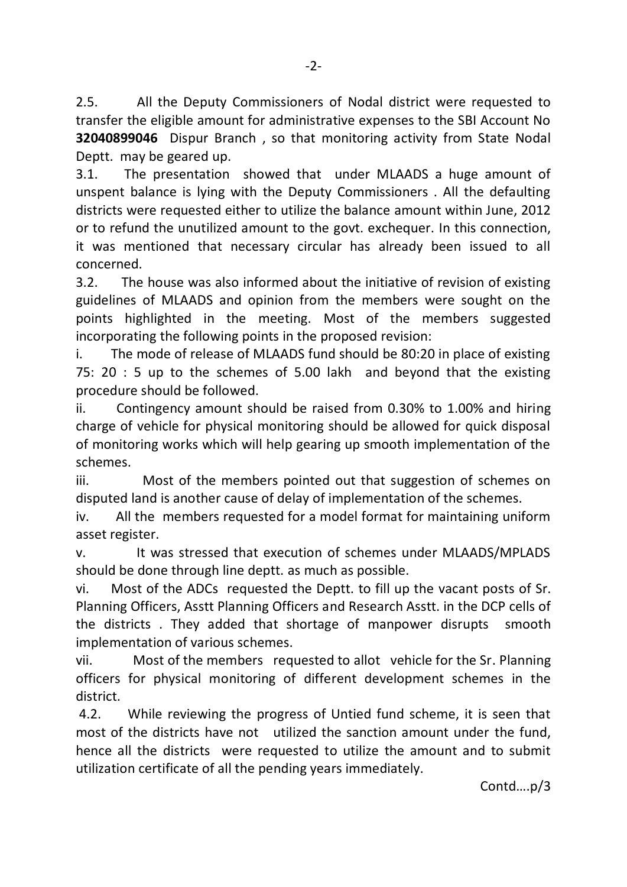2.5. All the Deputy Commissioners of Nodal district were requested to transfer the eligible amount for administrative expenses to the SBI Account No **32040899046** Dispur Branch , so that monitoring activity from State Nodal Deptt. may be geared up.

3.1. The presentation showed that under MLAADS a huge amount of unspent balance is lying with the Deputy Commissioners . All the defaulting districts were requested either to utilize the balance amount within June, 2012 or to refund the unutilized amount to the govt. exchequer. In this connection, it was mentioned that necessary circular has already been issued to all concerned.

3.2. The house was also informed about the initiative of revision of existing guidelines of MLAADS and opinion from the members were sought on the points highlighted in the meeting. Most of the members suggested incorporating the following points in the proposed revision:

i. The mode of release of MLAADS fund should be 80:20 in place of existing 75: 20 : 5 up to the schemes of 5.00 lakh and beyond that the existing procedure should be followed.

ii. Contingency amount should be raised from 0.30% to 1.00% and hiring charge of vehicle for physical monitoring should be allowed for quick disposal of monitoring works which will help gearing up smooth implementation of the schemes.

iii. Most of the members pointed out that suggestion of schemes on disputed land is another cause of delay of implementation of the schemes.

iv. All the members requested for a model format for maintaining uniform asset register.

v. It was stressed that execution of schemes under MLAADS/MPLADS should be done through line deptt. as much as possible.

vi. Most of the ADCs requested the Deptt. to fill up the vacant posts of Sr. Planning Officers, Asstt Planning Officers and Research Asstt. in the DCP cells of the districts . They added that shortage of manpower disrupts smooth implementation of various schemes.

vii. Most of the members requested to allot vehicle for the Sr. Planning officers for physical monitoring of different development schemes in the district.

4.2. While reviewing the progress of Untied fund scheme, it is seen that most of the districts have not utilized the sanction amount under the fund, hence all the districts were requested to utilize the amount and to submit utilization certificate of all the pending years immediately.

Contd….p/3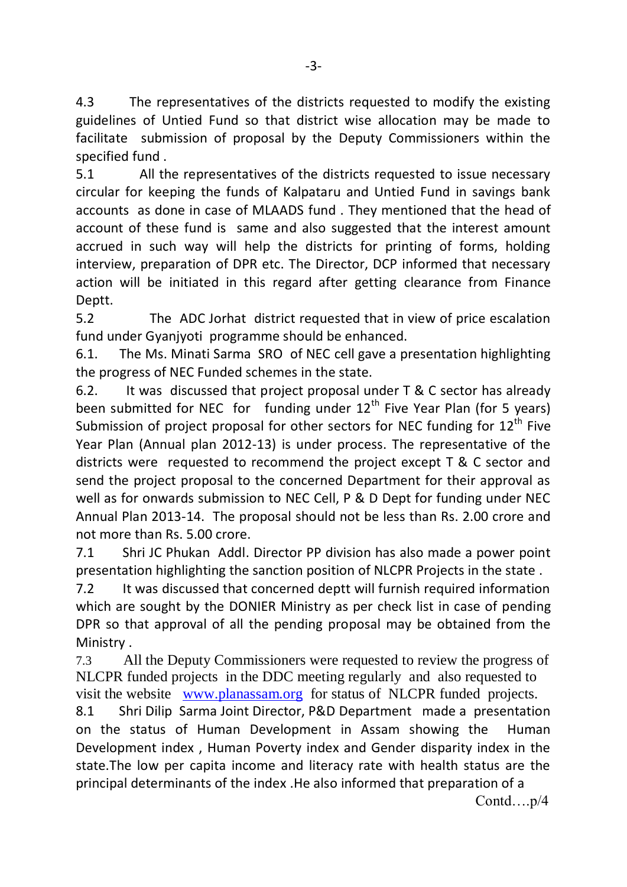4.3 The representatives of the districts requested to modify the existing guidelines of Untied Fund so that district wise allocation may be made to facilitate submission of proposal by the Deputy Commissioners within the specified fund .

5.1 All the representatives of the districts requested to issue necessary circular for keeping the funds of Kalpataru and Untied Fund in savings bank accounts as done in case of MLAADS fund . They mentioned that the head of account of these fund is same and also suggested that the interest amount accrued in such way will help the districts for printing of forms, holding interview, preparation of DPR etc. The Director, DCP informed that necessary action will be initiated in this regard after getting clearance from Finance Deptt.

5.2 The ADC Jorhat district requested that in view of price escalation fund under Gyanjyoti programme should be enhanced.

6.1. The Ms. Minati Sarma SRO of NEC cell gave a presentation highlighting the progress of NEC Funded schemes in the state.

6.2. It was discussed that project proposal under T & C sector has already been submitted for NEC for funding under  $12<sup>th</sup>$  Five Year Plan (for 5 years) Submission of project proposal for other sectors for NEC funding for  $12<sup>th</sup>$  Five Year Plan (Annual plan 2012-13) is under process. The representative of the districts were requested to recommend the project except T & C sector and send the project proposal to the concerned Department for their approval as well as for onwards submission to NEC Cell, P & D Dept for funding under NEC Annual Plan 2013-14. The proposal should not be less than Rs. 2.00 crore and not more than Rs. 5.00 crore.

7.1 Shri JC Phukan Addl. Director PP division has also made a power point presentation highlighting the sanction position of NLCPR Projects in the state .

7.2 It was discussed that concerned deptt will furnish required information which are sought by the DONIER Ministry as per check list in case of pending DPR so that approval of all the pending proposal may be obtained from the Ministry .

7.3 All the Deputy Commissioners were requested to review the progress of NLCPR funded projects in the DDC meeting regularly and also requested to visit the website [www.planassam.org](http://www.planassam.org/) for status of NLCPR funded projects.

8.1 Shri Dilip Sarma Joint Director, P&D Department made a presentation on the status of Human Development in Assam showing the Human Development index , Human Poverty index and Gender disparity index in the state.The low per capita income and literacy rate with health status are the principal determinants of the index .He also informed that preparation of a

Contd….p/4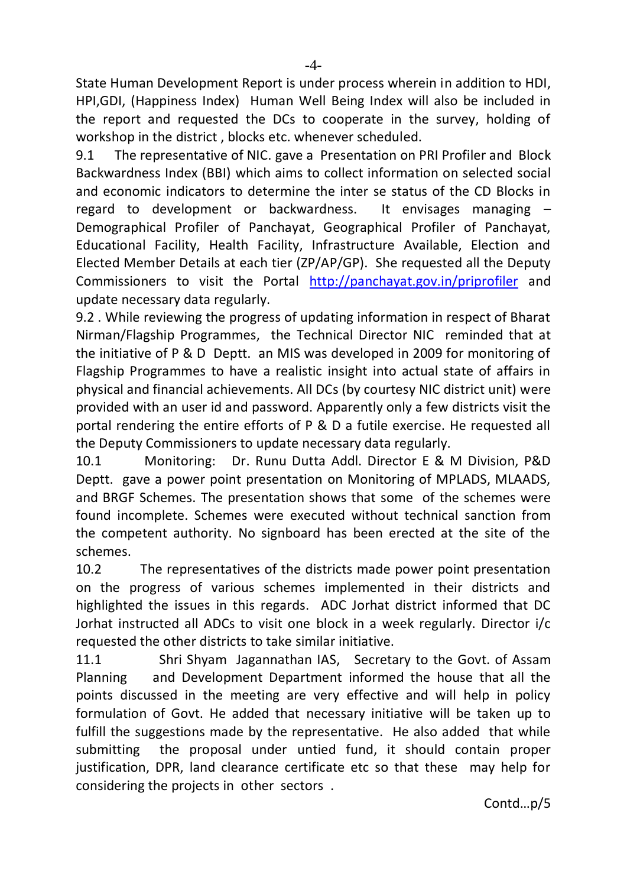State Human Development Report is under process wherein in addition to HDI, HPI,GDI, (Happiness Index) Human Well Being Index will also be included in the report and requested the DCs to cooperate in the survey, holding of workshop in the district , blocks etc. whenever scheduled.

9.1 The representative of NIC. gave a Presentation on PRI Profiler and Block Backwardness Index (BBI) which aims to collect information on selected social and economic indicators to determine the inter se status of the CD Blocks in regard to development or backwardness. It envisages managing – Demographical Profiler of Panchayat, Geographical Profiler of Panchayat, Educational Facility, Health Facility, Infrastructure Available, Election and Elected Member Details at each tier (ZP/AP/GP). She requested all the Deputy Commissioners to visit the Portal <http://panchayat.gov.in/priprofiler> and update necessary data regularly.

9.2 . While reviewing the progress of updating information in respect of Bharat Nirman/Flagship Programmes, the Technical Director NIC reminded that at the initiative of P & D Deptt. an MIS was developed in 2009 for monitoring of Flagship Programmes to have a realistic insight into actual state of affairs in physical and financial achievements. All DCs (by courtesy NIC district unit) were provided with an user id and password. Apparently only a few districts visit the portal rendering the entire efforts of P & D a futile exercise. He requested all the Deputy Commissioners to update necessary data regularly.

10.1 Monitoring: Dr. Runu Dutta Addl. Director E & M Division, P&D Deptt. gave a power point presentation on Monitoring of MPLADS, MLAADS, and BRGF Schemes. The presentation shows that some of the schemes were found incomplete. Schemes were executed without technical sanction from the competent authority. No signboard has been erected at the site of the schemes.

10.2 The representatives of the districts made power point presentation on the progress of various schemes implemented in their districts and highlighted the issues in this regards. ADC Jorhat district informed that DC Jorhat instructed all ADCs to visit one block in a week regularly. Director i/c requested the other districts to take similar initiative.

11.1 Shri Shyam Jagannathan IAS, Secretary to the Govt. of Assam Planning and Development Department informed the house that all the points discussed in the meeting are very effective and will help in policy formulation of Govt. He added that necessary initiative will be taken up to fulfill the suggestions made by the representative. He also added that while submitting the proposal under untied fund, it should contain proper justification, DPR, land clearance certificate etc so that these may help for considering the projects in other sectors .

Contd…p/5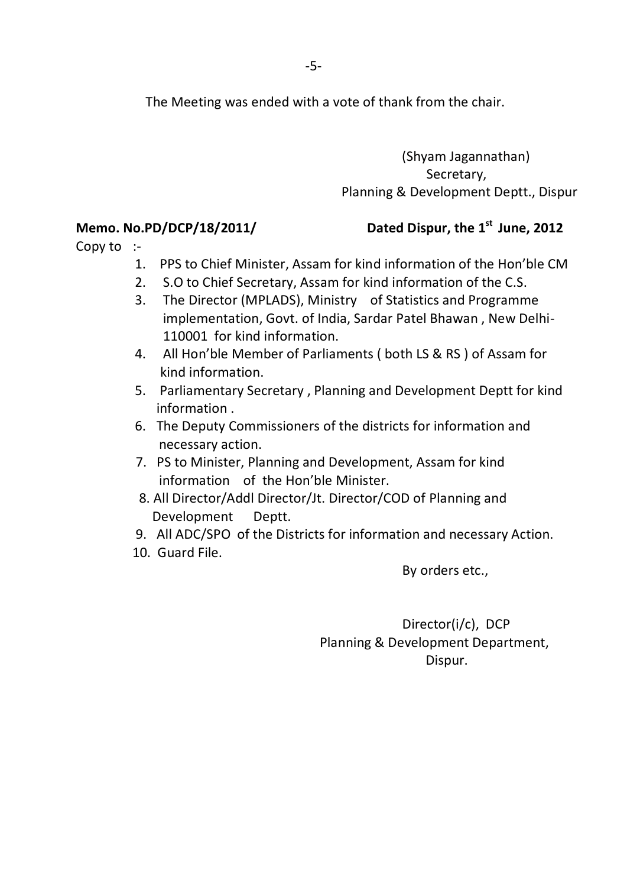The Meeting was ended with a vote of thank from the chair.

 (Shyam Jagannathan) Secretary, Planning & Development Deptt., Dispur

## **Memo. No.PD/DCP/18/2011/**

## Dated Dispur, the 1<sup>st</sup> June, 2012

Copy to :-

- 1. PPS to Chief Minister, Assam for kind information of the Hon'ble CM
- 2. S.O to Chief Secretary, Assam for kind information of the C.S.
- 3. The Director (MPLADS), Ministry of Statistics and Programme implementation, Govt. of India, Sardar Patel Bhawan , New Delhi- 110001 for kind information.
- 4. All Hon'ble Member of Parliaments ( both LS & RS ) of Assam for kind information.
- 5. Parliamentary Secretary , Planning and Development Deptt for kind information .
- 6. The Deputy Commissioners of the districts for information and necessary action.
- 7. PS to Minister, Planning and Development, Assam for kind information of the Hon'ble Minister.
- 8. All Director/Addl Director/Jt. Director/COD of Planning and Development Deptt.
- 9. All ADC/SPO of the Districts for information and necessary Action.
- 10. Guard File.

By orders etc.,

 Director(i/c), DCP Planning & Development Department, Dispur.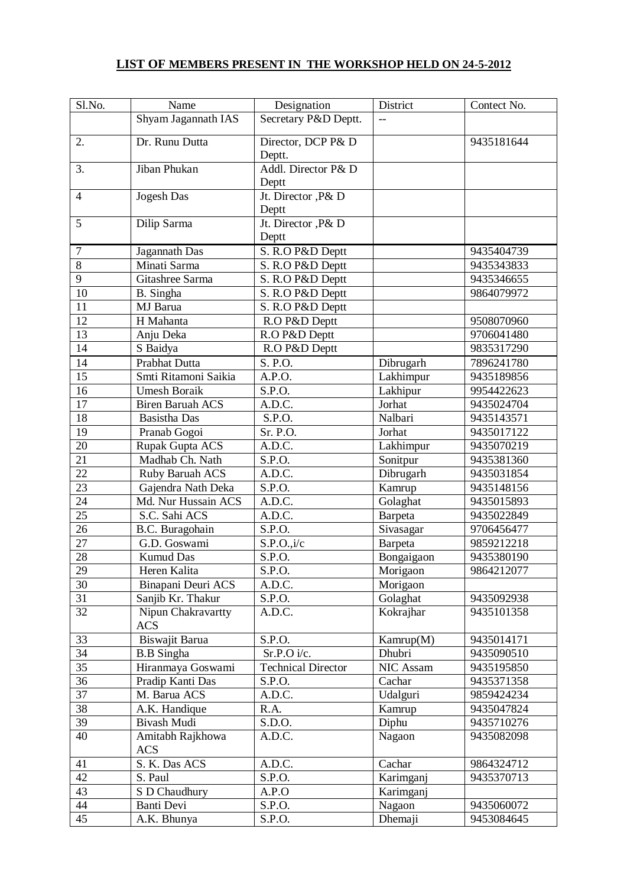## **LIST OF MEMBERS PRESENT IN THE WORKSHOP HELD ON 24-5-2012**

| Sl.No.                     | Name                                                                                                  | Designation                                                     | District                                                                 | Contect No.                                          |
|----------------------------|-------------------------------------------------------------------------------------------------------|-----------------------------------------------------------------|--------------------------------------------------------------------------|------------------------------------------------------|
|                            | Shyam Jagannath IAS                                                                                   | Secretary P&D Deptt.                                            | $-$                                                                      |                                                      |
|                            |                                                                                                       |                                                                 |                                                                          |                                                      |
| 2.                         | Dr. Runu Dutta                                                                                        | Director, DCP P& D                                              |                                                                          | 9435181644                                           |
|                            |                                                                                                       | Deptt.                                                          |                                                                          |                                                      |
| 3.                         | Jiban Phukan                                                                                          | Addl. Director P& D                                             |                                                                          |                                                      |
|                            |                                                                                                       | Deptt                                                           |                                                                          |                                                      |
| $\overline{4}$             | Jogesh Das                                                                                            | Jt. Director , P& D                                             |                                                                          |                                                      |
|                            |                                                                                                       | Deptt                                                           |                                                                          |                                                      |
| 5                          | Dilip Sarma                                                                                           | Jt. Director , P& D                                             |                                                                          |                                                      |
|                            |                                                                                                       | Deptt                                                           |                                                                          |                                                      |
| 7                          | Jagannath Das                                                                                         | S. R.O P&D Deptt                                                |                                                                          | 9435404739                                           |
| 8                          | Minati Sarma                                                                                          | S. R.O P&D Deptt                                                |                                                                          | 9435343833                                           |
| $\overline{9}$             | Gitashree Sarma                                                                                       | S. R.O P&D Deptt                                                |                                                                          | 9435346655                                           |
| 10                         | B. Singha                                                                                             | S. R.O P&D Deptt                                                |                                                                          | 9864079972                                           |
| 11                         | MJ Barua                                                                                              | S. R.O P&D Deptt                                                |                                                                          |                                                      |
| 12                         | H Mahanta                                                                                             | R.O P&D Deptt                                                   |                                                                          | 9508070960                                           |
| 13                         | Anju Deka                                                                                             | R.O P&D Deptt                                                   |                                                                          | 9706041480                                           |
| 14                         | S Baidya                                                                                              | R.O P&D Deptt                                                   |                                                                          | 9835317290                                           |
| 14                         | Prabhat Dutta                                                                                         | S. P.O.                                                         | Dibrugarh                                                                | 7896241780                                           |
| 15                         | Smti Ritamoni Saikia                                                                                  | A.P.O.                                                          | Lakhimpur                                                                | 9435189856                                           |
| 16                         | <b>Umesh Boraik</b>                                                                                   | S.P.O.                                                          | Lakhipur                                                                 | 9954422623                                           |
| 17                         | <b>Biren Baruah ACS</b>                                                                               | A.D.C.                                                          | Jorhat                                                                   | 9435024704                                           |
| 18                         | <b>Basistha Das</b>                                                                                   | S.P.O.                                                          | Nalbari                                                                  | 9435143571                                           |
| 19                         | Pranab Gogoi                                                                                          | Sr. P.O.                                                        | Jorhat                                                                   | 9435017122                                           |
| 20                         | Rupak Gupta ACS                                                                                       | A.D.C.                                                          | Lakhimpur                                                                | 9435070219                                           |
| 21                         | Madhab Ch. Nath                                                                                       | S.P.O.                                                          | Sonitpur                                                                 | 9435381360                                           |
| 22                         | Ruby Baruah ACS                                                                                       | A.D.C.                                                          | Dibrugarh                                                                | 9435031854                                           |
| 23                         | Gajendra Nath Deka                                                                                    | S.P.O.                                                          | Kamrup                                                                   | 9435148156                                           |
| 24                         | Md. Nur Hussain ACS                                                                                   | A.D.C.                                                          | Golaghat                                                                 | 9435015893                                           |
| $\overline{25}$            | S.C. Sahi ACS                                                                                         | A.D.C.                                                          | Barpeta                                                                  | 9435022849                                           |
| 26                         | B.C. Buragohain                                                                                       | S.P.O.                                                          | Sivasagar                                                                | 9706456477                                           |
| 27                         | G.D. Goswami                                                                                          | S.P.O., i/c                                                     | Barpeta                                                                  | 9859212218                                           |
| 28                         | <b>Kumud Das</b>                                                                                      | S.P.O.                                                          | Bongaigaon                                                               | 9435380190                                           |
| 29                         | Heren Kalita                                                                                          | S.P.O.                                                          | Morigaon                                                                 | 9864212077                                           |
| 30                         | Binapani Deuri ACS                                                                                    | A.D.C.                                                          | Morigaon                                                                 |                                                      |
| 31                         | Sanjib Kr. Thakur                                                                                     | S.P.O.                                                          | Golaghat                                                                 | 9435092938                                           |
| 32                         | Nipun Chakravartty                                                                                    | A.D.C.                                                          | Kokrajhar                                                                | 9435101358                                           |
|                            | <b>ACS</b>                                                                                            |                                                                 |                                                                          |                                                      |
| 33                         | Biswajit Barua                                                                                        | S.P.O.                                                          | Kamrup(M)                                                                | 9435014171                                           |
| 34                         | <b>B.B</b> Singha                                                                                     | Sr.P. O i/c.                                                    | Dhubri                                                                   | 9435090510                                           |
| 35                         | Hiranmaya Goswami                                                                                     | <b>Technical Director</b>                                       | NIC Assam                                                                | 9435195850                                           |
| 36                         | Pradip Kanti Das                                                                                      | S.P.O.                                                          | Cachar                                                                   | 9435371358                                           |
| 37                         | M. Barua ACS                                                                                          | A.D.C.                                                          | Udalguri                                                                 | 9859424234                                           |
| 38                         |                                                                                                       |                                                                 |                                                                          | 9435047824                                           |
| 39                         | Bivash Mudi                                                                                           |                                                                 |                                                                          | 9435710276                                           |
| 40                         | Amitabh Rajkhowa                                                                                      | A.D.C.                                                          | Nagaon                                                                   | 9435082098                                           |
|                            |                                                                                                       |                                                                 |                                                                          |                                                      |
|                            |                                                                                                       |                                                                 |                                                                          |                                                      |
|                            |                                                                                                       |                                                                 |                                                                          |                                                      |
|                            |                                                                                                       |                                                                 |                                                                          |                                                      |
|                            |                                                                                                       |                                                                 |                                                                          |                                                      |
| 41<br>42<br>43<br>44<br>45 | A.K. Handique<br><b>ACS</b><br>S. K. Das ACS<br>S. Paul<br>S D Chaudhury<br>Banti Devi<br>A.K. Bhunya | R.A.<br>S.D.O.<br>A.D.C.<br>S.P.O.<br>A.P.O<br>S.P.O.<br>S.P.O. | Kamrup<br>Diphu<br>Cachar<br>Karimganj<br>Karimganj<br>Nagaon<br>Dhemaji | 9864324712<br>9435370713<br>9435060072<br>9453084645 |